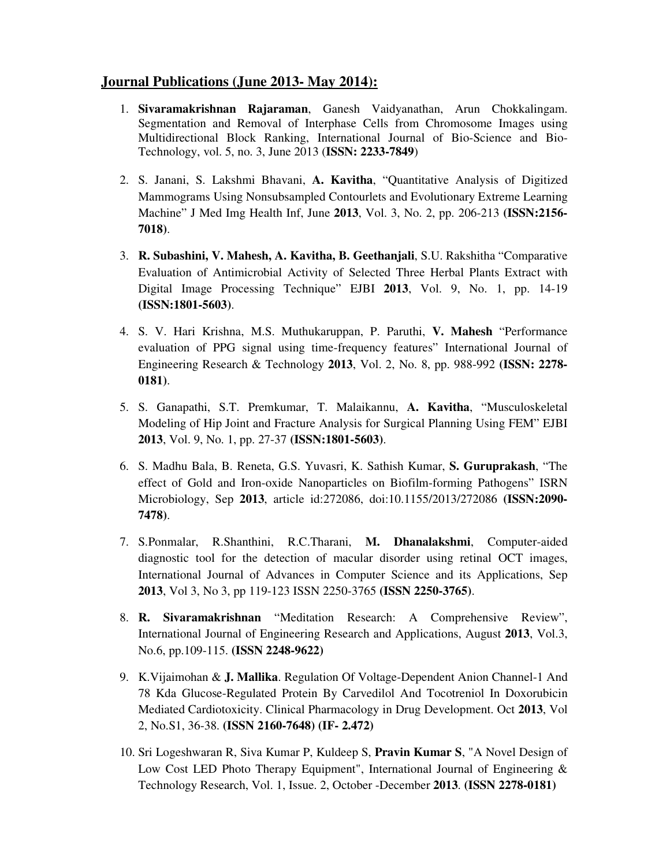## **Journal Publications (June 2013- May 2014):**

- 1. **Sivaramakrishnan Rajaraman**, Ganesh Vaidyanathan, Arun Chokkalingam. Segmentation and Removal of Interphase Cells from Chromosome Images using Multidirectional Block Ranking, International Journal of Bio-Science and Bio-Technology, vol. 5, no. 3, June 2013 (**ISSN: 2233-7849**)
- 2. S. Janani, S. Lakshmi Bhavani, **A. Kavitha**, "Quantitative Analysis of Digitized Mammograms Using Nonsubsampled Contourlets and Evolutionary Extreme Learning Machine" J Med Img Health Inf, June **2013**, Vol. 3, No. 2, pp. 206-213 **(ISSN:2156- 7018)**.
- 3. **R. Subashini, V. Mahesh, A. Kavitha, B. Geethanjali**, S.U. Rakshitha "Comparative Evaluation of Antimicrobial Activity of Selected Three Herbal Plants Extract with Digital Image Processing Technique" EJBI **2013**, Vol. 9, No. 1, pp. 14-19 **(ISSN:1801-5603)**.
- 4. S. V. Hari Krishna, M.S. Muthukaruppan, P. Paruthi, **V. Mahesh** "Performance evaluation of PPG signal using time-frequency features" International Journal of Engineering Research & Technology **2013**, Vol. 2, No. 8, pp. 988-992 **(ISSN: 2278- 0181)**.
- 5. S. Ganapathi, S.T. Premkumar, T. Malaikannu, **A. Kavitha**, "Musculoskeletal Modeling of Hip Joint and Fracture Analysis for Surgical Planning Using FEM" EJBI **2013**, Vol. 9, No. 1, pp. 27-37 **(ISSN:1801-5603)**.
- 6. S. Madhu Bala, B. Reneta, G.S. Yuvasri, K. Sathish Kumar, **S. Guruprakash**, "The effect of Gold and Iron-oxide Nanoparticles on Biofilm-forming Pathogens" ISRN Microbiology, Sep **2013**, article id:272086, doi:10.1155/2013/272086 **(ISSN:2090- 7478)**.
- 7. S.Ponmalar, R.Shanthini, R.C.Tharani, **M. Dhanalakshmi**, Computer-aided diagnostic tool for the detection of macular disorder using retinal OCT images, International Journal of Advances in Computer Science and its Applications, Sep **2013**, Vol 3, No 3, pp 119-123 ISSN 2250-3765 **(ISSN 2250-3765)**.
- 8. **R. Sivaramakrishnan** "Meditation Research: A Comprehensive Review", International Journal of Engineering Research and Applications, August **2013**, Vol.3, No.6, pp.109-115. **(ISSN 2248-9622)**
- 9. K.Vijaimohan & **J. Mallika**. Regulation Of Voltage-Dependent Anion Channel-1 And 78 Kda Glucose-Regulated Protein By Carvedilol And Tocotreniol In Doxorubicin Mediated Cardiotoxicity. Clinical Pharmacology in Drug Development. Oct **2013**, Vol 2, No.S1, 36-38. **(ISSN 2160-7648) (IF- 2.472)**
- 10. Sri Logeshwaran R, Siva Kumar P, Kuldeep S, **Pravin Kumar S**, "A Novel Design of Low Cost LED Photo Therapy Equipment", International Journal of Engineering  $\&$ Technology Research, Vol. 1, Issue. 2, October -December **2013**. **(ISSN 2278-0181)**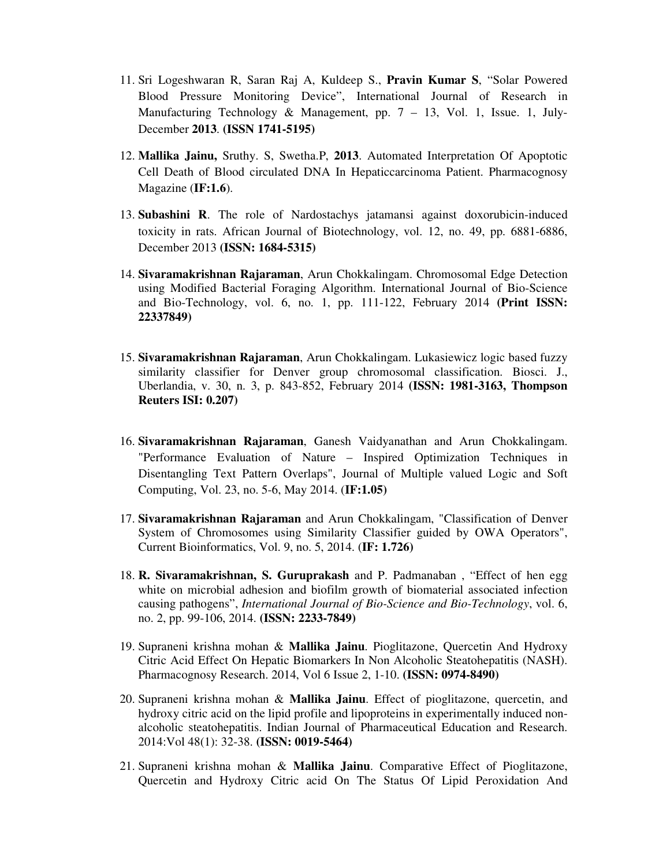- 11. Sri Logeshwaran R, Saran Raj A, Kuldeep S., **Pravin Kumar S**, "Solar Powered Blood Pressure Monitoring Device", International Journal of Research in Manufacturing Technology & Management, pp. 7 – 13, Vol. 1, Issue. 1, July-December **2013**. **(ISSN 1741-5195)**
- 12. **Mallika Jainu,** Sruthy. S, Swetha.P, **2013**. Automated Interpretation Of Apoptotic Cell Death of Blood circulated DNA In Hepaticcarcinoma Patient. Pharmacognosy Magazine (**IF:1.6**).
- 13. **Subashini R**. The role of Nardostachys jatamansi against doxorubicin-induced toxicity in rats. African Journal of Biotechnology, vol. 12, no. 49, pp. 6881-6886, December 2013 **(ISSN: 1684-5315)**
- 14. **Sivaramakrishnan Rajaraman**, Arun Chokkalingam. Chromosomal Edge Detection using Modified Bacterial Foraging Algorithm. International Journal of Bio-Science and Bio-Technology, vol. 6, no. 1, pp. 111-122, February 2014 **(Print ISSN: 22337849)**
- 15. **Sivaramakrishnan Rajaraman**, Arun Chokkalingam. Lukasiewicz logic based fuzzy similarity classifier for Denver group chromosomal classification. Biosci. J., Uberlandia, v. 30, n. 3, p. 843-852, February 2014 **(ISSN: 1981-3163, Thompson Reuters ISI: 0.207)**
- 16. **Sivaramakrishnan Rajaraman**, Ganesh Vaidyanathan and Arun Chokkalingam. "Performance Evaluation of Nature – Inspired Optimization Techniques in Disentangling Text Pattern Overlaps", Journal of Multiple valued Logic and Soft Computing, Vol. 23, no. 5-6, May 2014. (**IF:1.05)**
- 17. **Sivaramakrishnan Rajaraman** and Arun Chokkalingam, "Classification of Denver System of Chromosomes using Similarity Classifier guided by OWA Operators", Current Bioinformatics, Vol. 9, no. 5, 2014. (**IF: 1.726)**
- 18. **R. Sivaramakrishnan, S. Guruprakash** and P. Padmanaban , "Effect of hen egg white on microbial adhesion and biofilm growth of biomaterial associated infection causing pathogens", *International Journal of Bio-Science and Bio-Technology*, vol. 6, no. 2, pp. 99-106, 2014. **(ISSN: 2233-7849)**
- 19. Supraneni krishna mohan & **Mallika Jainu**. Pioglitazone, Quercetin And Hydroxy Citric Acid Effect On Hepatic Biomarkers In Non Alcoholic Steatohepatitis (NASH). Pharmacognosy Research. 2014, Vol 6 Issue 2, 1-10. **(ISSN: 0974-8490)**
- 20. Supraneni krishna mohan & **Mallika Jainu**. Effect of pioglitazone, quercetin, and hydroxy citric acid on the lipid profile and lipoproteins in experimentally induced nonalcoholic steatohepatitis. Indian Journal of Pharmaceutical Education and Research. 2014:Vol 48(1): 32-38. **(ISSN: 0019-5464)**
- 21. Supraneni krishna mohan & **Mallika Jainu**. Comparative Effect of Pioglitazone, Quercetin and Hydroxy Citric acid On The Status Of Lipid Peroxidation And